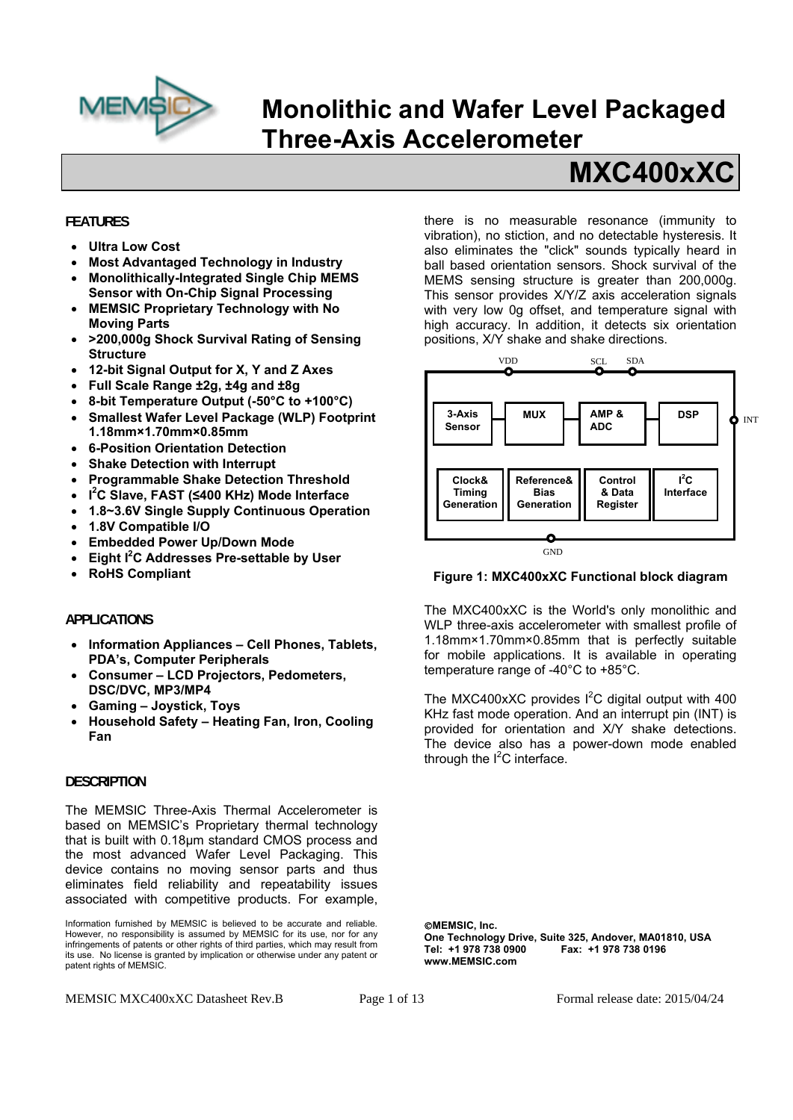

## **Monolithic and Wafer Level Packaged Three-Axis Accelerometer**

# **MXC400xXC**

#### **FEATURES**

- **Ultra Low Cost**
- **Most Advantaged Technology in Industry**
- **Monolithically-Integrated Single Chip MEMS Sensor with On-Chip Signal Processing**
- **MEMSIC Proprietary Technology with No Moving Parts**
- **>200,000g Shock Survival Rating of Sensing Structure**
- **12-bit Signal Output for X, Y and Z Axes**
- **Full Scale Range ±2g, ±4g and ±8g**
- **8-bit Temperature Output (-50°C to +100°C)**
- **Smallest Wafer Level Package (WLP) Footprint 1.18mm×1.70mm×0.85mm**
- **6-Position Orientation Detection**
- **Shake Detection with Interrupt**
- **Programmable Shake Detection Threshold**
- **I 2 C Slave, FAST (≤400 KHz) Mode Interface**
- **1.8~3.6V Single Supply Continuous Operation**
- **1.8V Compatible I/O**
- **Embedded Power Up/Down Mode**
- **Eight I2 C Addresses Pre-settable by User**
- **RoHS Compliant**

#### **APPLICATIONS**

- **Information Appliances Cell Phones, Tablets, PDA's, Computer Peripherals**
- **Consumer LCD Projectors, Pedometers, DSC/DVC, MP3/MP4**
- **Gaming Joystick, Toys**
- **Household Safety Heating Fan, Iron, Cooling Fan**

#### **DESCRIPTION**

The MEMSIC Three-Axis Thermal Accelerometer is based on MEMSIC's Proprietary thermal technology that is built with 0.18µm standard CMOS process and the most advanced Wafer Level Packaging. This device contains no moving sensor parts and thus eliminates field reliability and repeatability issues associated with competitive products. For example, there is no measurable resonance (immunity to vibration), no stiction, and no detectable hysteresis. It also eliminates the "click" sounds typically heard in ball based orientation sensors. Shock survival of the MEMS sensing structure is greater than 200,000g. This sensor provides X/Y/Z axis acceleration signals with very low 0g offset, and temperature signal with high accuracy. In addition, it detects six orientation positions, X/Y shake and shake directions.



#### **Figure 1: MXC400xXC Functional block diagram**

The MXC400xXC is the World's only monolithic and WLP three-axis accelerometer with smallest profile of 1.18mm×1.70mm×0.85mm that is perfectly suitable for mobile applications. It is available in operating temperature range of -40°C to +85°C.

The MXC400xXC provides  $I^2C$  digital output with 400 KHz fast mode operation. And an interrupt pin (INT) is provided for orientation and X/Y shake detections. The device also has a power-down mode enabled through the  $I^2C$  interface.

**@MEMSIC, Inc. One Technology Drive, Suite 325, Andover, MA01810, USA Tel: +1 978 738 0900 Fax: +1 978 738 0196 www.MEMSIC.com**

MEMSIC MXC400xXC Datasheet Rev.B Page 1 of 13 Formal release date: 2015/04/24

Information furnished by MEMSIC is believed to be accurate and reliable. However, no responsibility is assumed by MEMSIC for its use, nor for any infringements of patents or other rights of third parties, which may result from its use. No license is granted by implication or otherwise under any patent or patent rights of MEMSIC.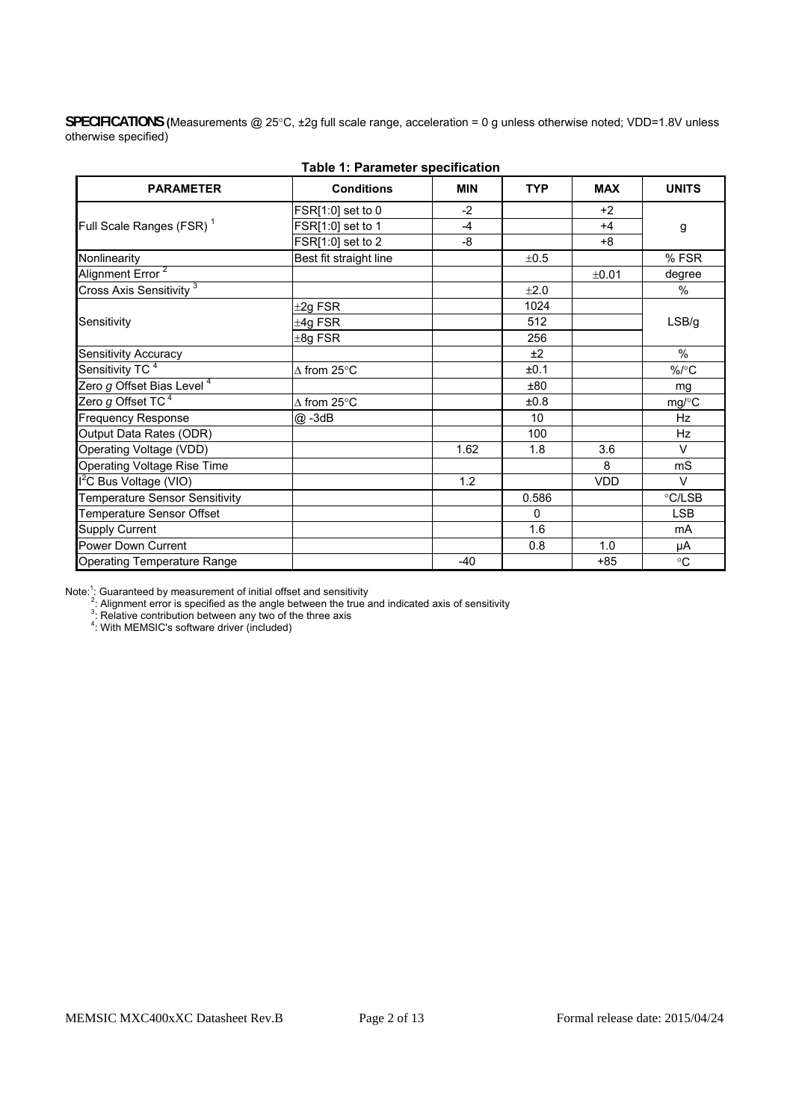SPECIFICATIONS (Measurements @ 25°C, ±2g full scale range, acceleration = 0 g unless otherwise noted; VDD=1.8V unless otherwise specified)

| <b>PARAMETER</b>                     | <b>Conditions</b>      | <b>MIN</b> | <b>TYP</b> | <b>MAX</b> | <b>UNITS</b> |
|--------------------------------------|------------------------|------------|------------|------------|--------------|
|                                      | $FSR[1:0]$ set to 0    | $-2$       |            | $+2$       |              |
| Full Scale Ranges (FSR) <sup>1</sup> | FSR[1:0] set to 1      | $-4$       |            | $+4$       | g            |
|                                      | FSR[1:0] set to 2      | -8         |            | $+8$       |              |
| Nonlinearity                         | Best fit straight line |            | ±0.5       |            | % FSR        |
| Alignment Error <sup>2</sup>         |                        |            |            | ±0.01      | degree       |
| Cross Axis Sensitivity <sup>3</sup>  |                        |            | ±2.0       |            | $\%$         |
|                                      | $±2g$ FSR              |            | 1024       |            |              |
| Sensitivity                          | $±4g$ FSR              |            | 512        |            | LSB/g        |
|                                      | $\pm 8$ g FSR          |            | 256        |            |              |
| Sensitivity Accuracy                 |                        |            | ±2         |            | $\%$         |
| Sensitivity TC <sup>4</sup>          | $\Delta$ from 25°C     |            | ±0.1       |            | $\%$ /°C     |
| Zero $g$ Offset Bias Level $^4$      |                        |            | ±80        |            | mg           |
| Zero $g$ Offset TC <sup>4</sup>      | $\Delta$ from 25°C     |            | ±0.8       |            | mg/°C        |
| Frequency Response                   | @-3dB                  |            | 10         |            | <b>Hz</b>    |
| Output Data Rates (ODR)              |                        |            | 100        |            | <b>Hz</b>    |
| Operating Voltage (VDD)              |                        | 1.62       | 1.8        | 3.6        | $\vee$       |
| Operating Voltage Rise Time          |                        |            |            | 8          | mS           |
| $1^2C$ Bus Voltage (VIO)             |                        | 1.2        |            | <b>VDD</b> | $\vee$       |
| Temperature Sensor Sensitivity       |                        |            | 0.586      |            | °C/LSB       |
| Temperature Sensor Offset            |                        |            | 0          |            | <b>LSB</b>   |
| <b>Supply Current</b>                |                        |            | 1.6        |            | mA           |
| Power Down Current                   |                        |            | 0.8        | 1.0        | μA           |
| <b>Operating Temperature Range</b>   |                        | $-40$      |            | $+85$      | $^{\circ}C$  |

#### **Table 1: Parameter specification**

Note:<sup>1</sup>: Guaranteed by measurement of initial offset and sensitivity<br><sup>2</sup>: Alignment error is specified as the angle between the true and indicated axis of sensitivity<br><sup>3</sup>: Relative contribution between any two of the thre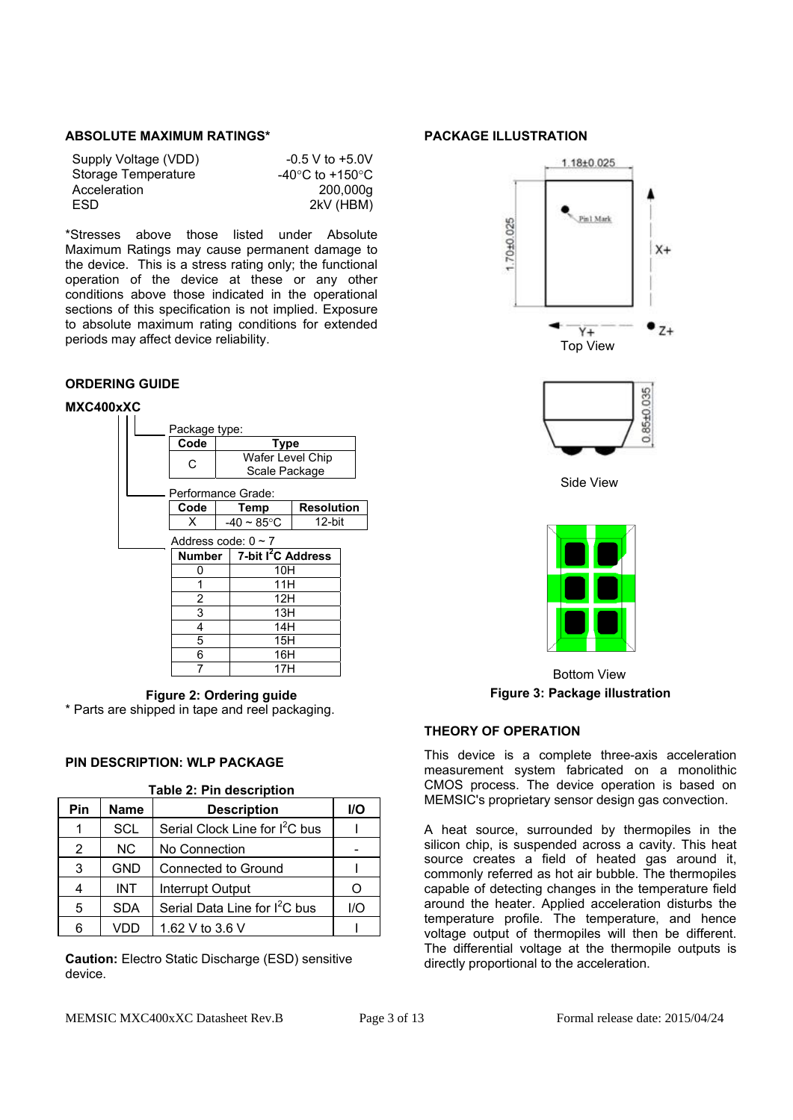#### **ABSOLUTE MAXIMUM RATINGS\***

| Supply Voltage (VDD) | $-0.5$ V to $+5.0V$                   |
|----------------------|---------------------------------------|
| Storage Temperature  | -40 $^{\circ}$ C to +150 $^{\circ}$ C |
| Acceleration         | 200,000g                              |
| ESD.                 | 2kV (HBM)                             |

\*Stresses above those listed under Absolute Maximum Ratings may cause permanent damage to the device. This is a stress rating only; the functional operation of the device at these or any other conditions above those indicated in the operational sections of this specification is not implied. Exposure to absolute maximum rating conditions for extended periods may affect device reliability.

#### **ORDERING GUIDE**

#### **MXC400xXC**

|                          | Package type:                     |                         |                                          |        |  |  |  |  |  |  |
|--------------------------|-----------------------------------|-------------------------|------------------------------------------|--------|--|--|--|--|--|--|
|                          | Code                              | Type                    |                                          |        |  |  |  |  |  |  |
|                          | C                                 |                         | <b>Wafer Level Chip</b><br>Scale Package |        |  |  |  |  |  |  |
|                          | Performance Grade:                |                         |                                          |        |  |  |  |  |  |  |
|                          | Code<br><b>Resolution</b><br>Temp |                         |                                          |        |  |  |  |  |  |  |
|                          | x                                 | $-40 \sim 85^{\circ}$ C |                                          | 12-bit |  |  |  |  |  |  |
| Address code: $0 \sim 7$ |                                   |                         |                                          |        |  |  |  |  |  |  |
|                          |                                   |                         | Number 7-bit I <sup>2</sup> C Address    |        |  |  |  |  |  |  |
|                          | 0                                 |                         | 10H                                      |        |  |  |  |  |  |  |
|                          | 1                                 |                         | 11H                                      |        |  |  |  |  |  |  |
|                          | 2                                 |                         | 12H                                      |        |  |  |  |  |  |  |
|                          | 3                                 |                         | 13H                                      |        |  |  |  |  |  |  |
|                          | 4                                 | 14H                     |                                          |        |  |  |  |  |  |  |
|                          | 5                                 | 15H                     |                                          |        |  |  |  |  |  |  |
|                          | 6                                 |                         | 16H                                      |        |  |  |  |  |  |  |
|                          |                                   |                         | 17H                                      |        |  |  |  |  |  |  |

**Figure 2: Ordering guide**  \* Parts are shipped in tape and reel packaging.

#### **PIN DESCRIPTION: WLP PACKAGE**

|     | <b>Table 2: Pin description</b> |                                            |            |  |  |  |  |  |
|-----|---------------------------------|--------------------------------------------|------------|--|--|--|--|--|
| Pin | <b>Name</b>                     | <b>Description</b>                         | <b>I/O</b> |  |  |  |  |  |
| 1   | <b>SCL</b>                      | Serial Clock Line for I <sup>2</sup> C bus |            |  |  |  |  |  |
| 2   | <b>NC</b>                       | No Connection                              |            |  |  |  |  |  |
| 3   | <b>GND</b>                      | Connected to Ground                        |            |  |  |  |  |  |
| 4   | <b>INT</b>                      | Interrupt Output                           |            |  |  |  |  |  |
| 5   | <b>SDA</b>                      | Serial Data Line for I <sup>2</sup> C bus  | l/O        |  |  |  |  |  |
| 6   |                                 | 1.62 V to 3.6 V                            |            |  |  |  |  |  |

**Caution:** Electro Static Discharge (ESD) sensitive device.

#### **PACKAGE ILLUSTRATION**





 Bottom View **Figure 3: Package illustration** 

#### **THEORY OF OPERATION**

This device is a complete three-axis acceleration measurement system fabricated on a monolithic CMOS process. The device operation is based on MEMSIC's proprietary sensor design gas convection.

A heat source, surrounded by thermopiles in the silicon chip, is suspended across a cavity. This heat source creates a field of heated gas around it, commonly referred as hot air bubble. The thermopiles capable of detecting changes in the temperature field around the heater. Applied acceleration disturbs the temperature profile. The temperature, and hence voltage output of thermopiles will then be different. The differential voltage at the thermopile outputs is directly proportional to the acceleration.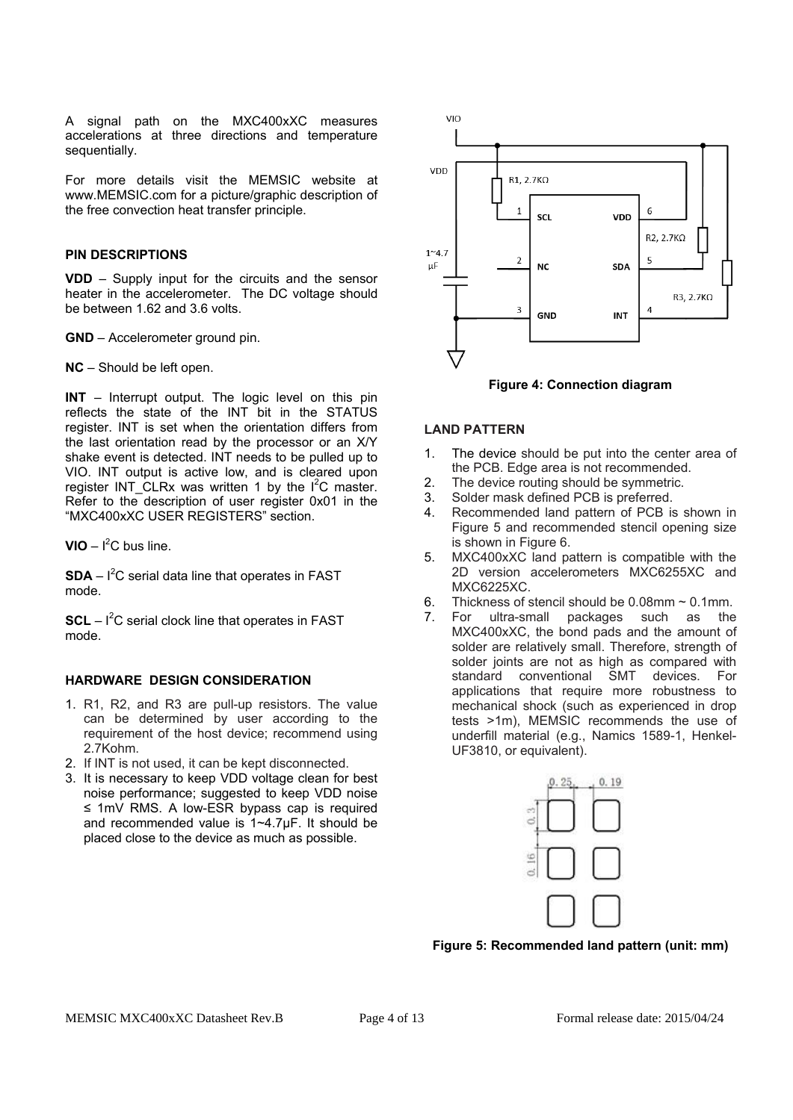A signal path on the MXC400xXC measures accelerations at three directions and temperature sequentially.

For more details visit the MEMSIC website at www.MEMSIC.com for a picture/graphic description of the free convection heat transfer principle.

#### **PIN DESCRIPTIONS**

**VDD** – Supply input for the circuits and the sensor heater in the accelerometer. The DC voltage should be between 1.62 and 3.6 volts.

**GND** – Accelerometer ground pin.

**NC** – Should be left open.

**INT** – Interrupt output. The logic level on this pin reflects the state of the INT bit in the STATUS register. INT is set when the orientation differs from the last orientation read by the processor or an X/Y shake event is detected. INT needs to be pulled up to VIO. INT output is active low, and is cleared upon register INT\_CLRx was written 1 by the  $I<sup>2</sup>C$  master. Refer to the description of user register 0x01 in the "MXC400xXC USER REGISTERS" section.

**VIO** –  $I^2C$  bus line.

 $SDA - I<sup>2</sup>C$  serial data line that operates in FAST mode.

 $SCL - I<sup>2</sup>C$  serial clock line that operates in FAST mode.

#### **HARDWARE DESIGN CONSIDERATION**

- 1. R1, R2, and R3 are pull-up resistors. The value can be determined by user according to the requirement of the host device; recommend using  $2.7$ Kohm.
- 2. If INT is not used, it can be kept disconnected.
- 3. It is necessary to keep VDD voltage clean for best noise performance; suggested to keep VDD noise ≤ 1mV RMS. A low-ESR bypass cap is required and recommended value is 1~4.7µF. It should be placed close to the device as much as possible.



**Figure 4: Connection diagram** 

#### **LAND PATTERN**

- 1. The device should be put into the center area of the PCB. Edge area is not recommended.
- 2. The device routing should be symmetric.
- 3. Solder mask defined PCB is preferred.
- 4. Recommended land pattern of PCB is shown in Figure 5 and recommended stencil opening size is shown in Figure 6.
- 5. MXC400xXC land pattern is compatible with the 2D version accelerometers MXC6255XC and MXC6225XC.
- 6. Thickness of stencil should be 0.08mm ~ 0.1mm.
- 7. For ultra-small packages such as the MXC400xXC, the bond pads and the amount of solder are relatively small. Therefore, strength of solder joints are not as high as compared with standard conventional SMT devices. For applications that require more robustness to mechanical shock (such as experienced in drop tests >1m), MEMSIC recommends the use of underfill material (e.g., Namics 1589-1, Henkel-UF3810, or equivalent).



**Figure 5: Recommended land pattern (unit: mm)**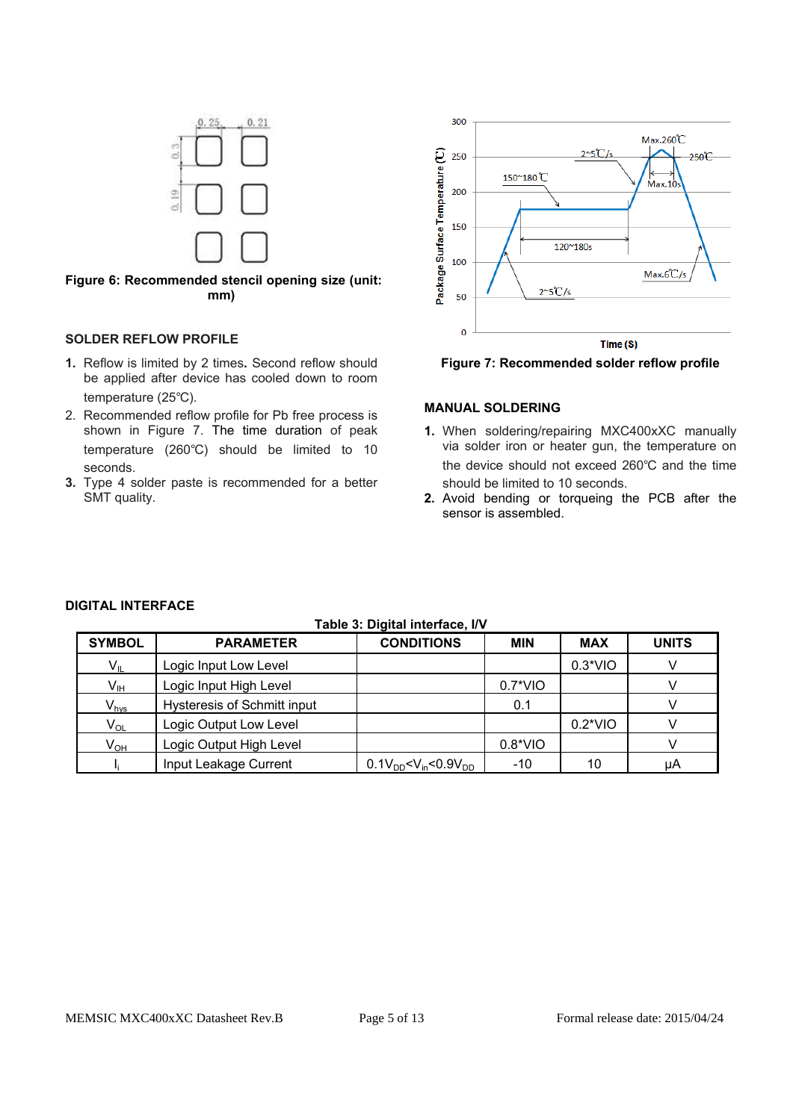

**Figure 6: Recommended stencil opening size (unit: mm)** 

#### **SOLDER REFLOW PROFILE**

- **1.** Reflow is limited by 2 times**.** Second reflow should be applied after device has cooled down to room temperature (25℃).
- 2. Recommended reflow profile for Pb free process is shown in Figure 7. The time duration of peak temperature (260℃) should be limited to 10 seconds.
- **3.** Type 4 solder paste is recommended for a better SMT quality.



**Figure 7: Recommended solder reflow profile** 

#### **MANUAL SOLDERING**

- **1.** When soldering/repairing MXC400xXC manually via solder iron or heater gun, the temperature on the device should not exceed 260℃ and the time should be limited to 10 seconds.
- **2.** Avoid bending or torqueing the PCB after the sensor is assembled.

#### **DIGITAL INTERFACE**

| <b>SYMBOL</b>              | <b>PARAMETER</b>                   | <b>CONDITIONS</b>                | <b>MIN</b>       | <b>MAX</b> | <b>UNITS</b> |
|----------------------------|------------------------------------|----------------------------------|------------------|------------|--------------|
| $V_{IL}$                   | Logic Input Low Level              |                                  |                  | $0.3*VIO$  |              |
| $V_{\text{IH}}$            | Logic Input High Level             |                                  | $0.7^*$ VIO      |            |              |
| $V_{\text{hys}}$           | <b>Hysteresis of Schmitt input</b> |                                  | 0.1              |            |              |
| $\mathsf{V}_{\mathsf{OL}}$ | Logic Output Low Level             |                                  |                  | $0.2*VIO$  |              |
| V <sub>он</sub>            | Logic Output High Level            |                                  | $0.8^{\ast}$ VIO |            |              |
|                            | Input Leakage Current              | $0.1V_{DD} < V_{in} < 0.9V_{DD}$ | $-10$            | 10         | μA           |

#### **Table 3: Digital interface, I/V**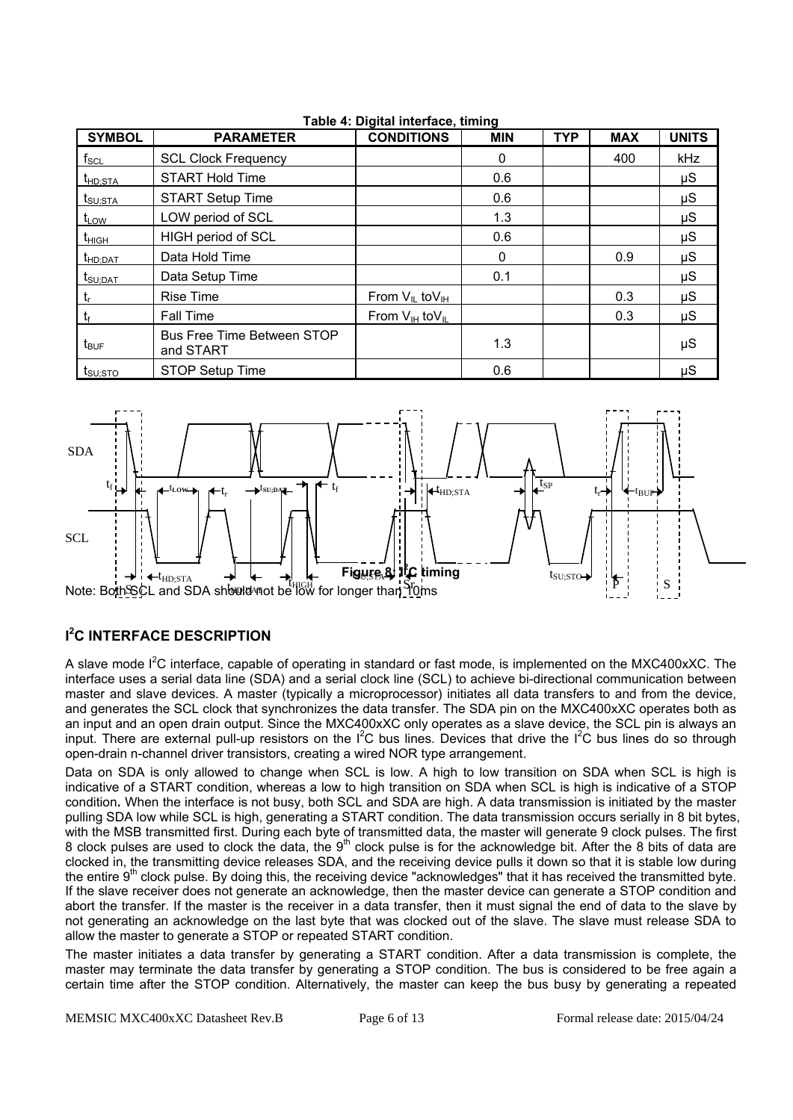| <b>SYMBOL</b>       | <b>PARAMETER</b>                               | <b>CONDITIONS</b>                       | <b>MIN</b> | <b>TYP</b> | <b>MAX</b> | <b>UNITS</b> |
|---------------------|------------------------------------------------|-----------------------------------------|------------|------------|------------|--------------|
| $f_{\rm SCL}$       | <b>SCL Clock Frequency</b>                     |                                         | 0          |            | 400        | <b>kHz</b>   |
| t <sub>HD;STA</sub> | <b>START Hold Time</b>                         |                                         | 0.6        |            |            | μS           |
| t <sub>SU;STA</sub> | <b>START Setup Time</b>                        |                                         | 0.6        |            |            | $\mu$ S      |
| $t_{LOW}$           | LOW period of SCL                              |                                         | 1.3        |            |            | μS           |
| $t_{HIGH}$          | HIGH period of SCL                             |                                         | 0.6        |            |            | $\mu$ S      |
| t <sub>HD;DAT</sub> | Data Hold Time                                 |                                         | 0          |            | 0.9        | μS           |
| $t_{\text{SU;DAT}}$ | Data Setup Time                                |                                         | 0.1        |            |            | μS           |
| t,                  | <b>Rise Time</b>                               | From $V_{II}$ to $V_{IH}$               |            |            | 0.3        | μS           |
| tŗ                  | Fall Time                                      | From $V_{\text{IH}}$ to $V_{\text{II}}$ |            |            | 0.3        | μS           |
| $t_{\text{BUF}}$    | <b>Bus Free Time Between STOP</b><br>and START |                                         | 1.3        |            |            | μS           |
| t <sub>su;sto</sub> | STOP Setup Time                                |                                         | 0.6        |            |            | μS           |





## **I 2 C INTERFACE DESCRIPTION**

A slave mode I<sup>2</sup>C interface, capable of operating in standard or fast mode, is implemented on the MXC400xXC. The interface uses a serial data line (SDA) and a serial clock line (SCL) to achieve bi-directional communication between master and slave devices. A master (typically a microprocessor) initiates all data transfers to and from the device, and generates the SCL clock that synchronizes the data transfer. The SDA pin on the MXC400xXC operates both as an input and an open drain output. Since the MXC400xXC only operates as a slave device, the SCL pin is always an input. There are external pull-up resistors on the  $I^2C$  bus lines. Devices that drive the  $I^2C$  bus lines do so through open-drain n-channel driver transistors, creating a wired NOR type arrangement.

Data on SDA is only allowed to change when SCL is low. A high to low transition on SDA when SCL is high is indicative of a START condition, whereas a low to high transition on SDA when SCL is high is indicative of a STOP condition**.** When the interface is not busy, both SCL and SDA are high. A data transmission is initiated by the master pulling SDA low while SCL is high, generating a START condition. The data transmission occurs serially in 8 bit bytes, with the MSB transmitted first. During each byte of transmitted data, the master will generate 9 clock pulses. The first 8 clock pulses are used to clock the data, the 9<sup>th</sup> clock pulse is for the acknowledge bit. After the 8 bits of data are clocked in, the transmitting device releases SDA, and the receiving device pulls it down so that it is stable low during the entire  $9<sup>th</sup>$  clock pulse. By doing this, the receiving device "acknowledges" that it has received the transmitted byte. If the slave receiver does not generate an acknowledge, then the master device can generate a STOP condition and abort the transfer. If the master is the receiver in a data transfer, then it must signal the end of data to the slave by not generating an acknowledge on the last byte that was clocked out of the slave. The slave must release SDA to allow the master to generate a STOP or repeated START condition.

The master initiates a data transfer by generating a START condition. After a data transmission is complete, the master may terminate the data transfer by generating a STOP condition. The bus is considered to be free again a certain time after the STOP condition. Alternatively, the master can keep the bus busy by generating a repeated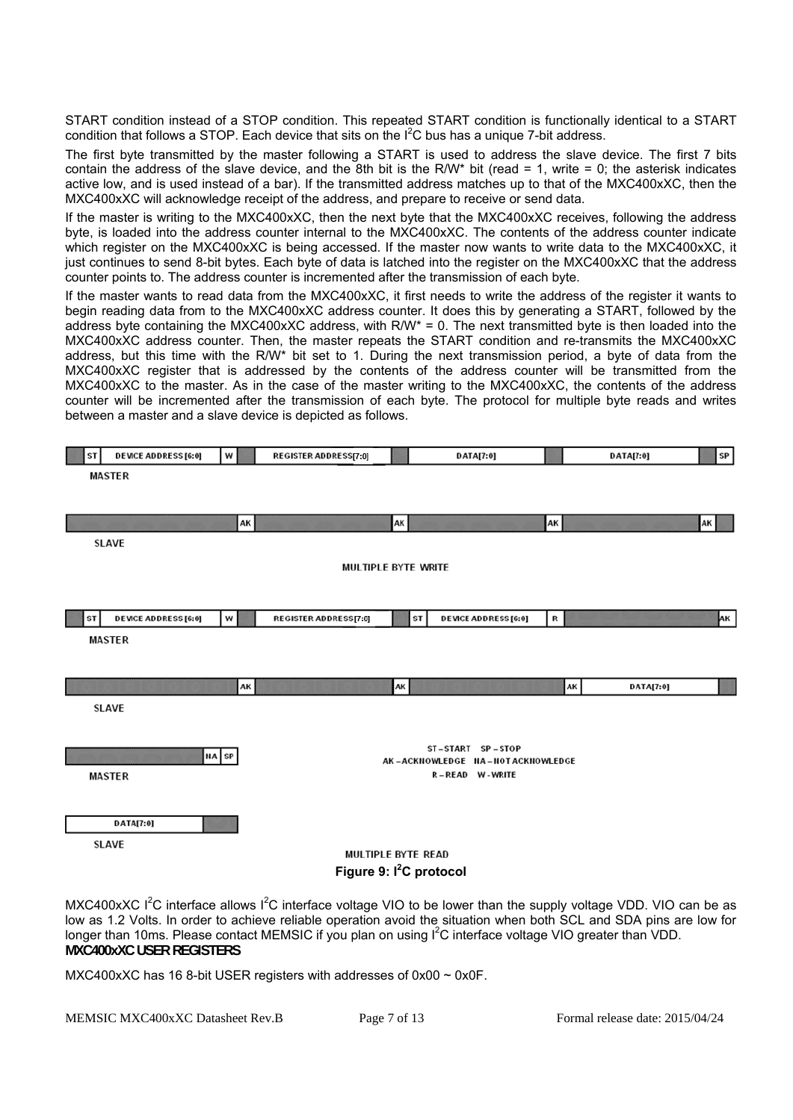START condition instead of a STOP condition. This repeated START condition is functionally identical to a START condition that follows a STOP. Each device that sits on the  $I^2C$  bus has a unique 7-bit address.

The first byte transmitted by the master following a START is used to address the slave device. The first 7 bits contain the address of the slave device, and the 8th bit is the R/W\* bit (read = 1, write = 0; the asterisk indicates active low, and is used instead of a bar). If the transmitted address matches up to that of the MXC400xXC, then the MXC400xXC will acknowledge receipt of the address, and prepare to receive or send data.

If the master is writing to the MXC400xXC, then the next byte that the MXC400xXC receives, following the address byte, is loaded into the address counter internal to the MXC400xXC. The contents of the address counter indicate which register on the MXC400xXC is being accessed. If the master now wants to write data to the MXC400xXC, it just continues to send 8-bit bytes. Each byte of data is latched into the register on the MXC400xXC that the address counter points to. The address counter is incremented after the transmission of each byte.

If the master wants to read data from the MXC400xXC, it first needs to write the address of the register it wants to begin reading data from to the MXC400xXC address counter. It does this by generating a START, followed by the address byte containing the MXC400xXC address, with R/W\* = 0. The next transmitted byte is then loaded into the MXC400xXC address counter. Then, the master repeats the START condition and re-transmits the MXC400xXC address, but this time with the R/W\* bit set to 1. During the next transmission period, a byte of data from the MXC400xXC register that is addressed by the contents of the address counter will be transmitted from the MXC400xXC to the master. As in the case of the master writing to the MXC400xXC, the contents of the address counter will be incremented after the transmission of each byte. The protocol for multiple byte reads and writes between a master and a slave device is depicted as follows.

| ST | <b>DEVICE ADDRESS [6:0]</b> | W            | <b>REGISTER ADDRESS[7:0]</b>        |                 |    | DATA[7:0]                                          |    |    | DATA[7:0] | SP |
|----|-----------------------------|--------------|-------------------------------------|-----------------|----|----------------------------------------------------|----|----|-----------|----|
|    | <b>MASTER</b>               |              |                                     |                 |    |                                                    |    |    |           |    |
|    |                             |              |                                     |                 |    |                                                    |    |    |           |    |
|    |                             | AK           |                                     | <b>AK</b>       |    |                                                    | AK |    |           | AK |
|    | <b>SLAVE</b>                |              |                                     |                 |    |                                                    |    |    |           |    |
|    |                             |              | MULTIPLE BYTE WRITE                 |                 |    |                                                    |    |    |           |    |
|    |                             |              |                                     |                 |    |                                                    |    |    |           |    |
|    |                             |              |                                     |                 |    |                                                    |    |    |           |    |
| ST | <b>DEVICE ADDRESS [6:0]</b> | w            | <b>REGISTER ADDRESS[7:0]</b>        |                 | ST | <b>DEVICE ADDRESS [6:0]</b>                        | R  |    |           | ак |
|    | <b>MASTER</b>               |              |                                     |                 |    |                                                    |    |    |           |    |
|    |                             |              |                                     |                 |    |                                                    |    |    |           |    |
|    |                             | AK           |                                     | AK <sub>1</sub> |    |                                                    |    | AK | DATA[7:0] |    |
|    | <b>SLAVE</b>                |              |                                     |                 |    |                                                    |    |    |           |    |
|    |                             |              |                                     |                 |    |                                                    |    |    |           |    |
|    |                             | <b>HA</b> SP |                                     |                 |    | ST-START SP-STOP                                   |    |    |           |    |
|    | <b>MASTER</b>               |              |                                     |                 |    | AK-ACKNOWLEDGE NA-NOTACKNOWLEDGE<br>R-READ W-WRITE |    |    |           |    |
|    |                             |              |                                     |                 |    |                                                    |    |    |           |    |
|    |                             |              |                                     |                 |    |                                                    |    |    |           |    |
|    | DATA[7:0]                   |              |                                     |                 |    |                                                    |    |    |           |    |
|    | <b>SLAVE</b>                |              | <b>MULTIPLE BYTE READ</b>           |                 |    |                                                    |    |    |           |    |
|    |                             |              | Figure 9: I <sup>2</sup> C protocol |                 |    |                                                    |    |    |           |    |

MXC400xXC  $I<sup>2</sup>C$  interface allows  $I<sup>2</sup>C$  interface voltage VIO to be lower than the supply voltage VDD. VIO can be as low as 1.2 Volts. In order to achieve reliable operation avoid the situation when both SCL and SDA pins are low for longer than 10ms. Please contact MEMSIC if you plan on using  $I^2C$  interface voltage VIO greater than VDD. **MXC400xXC USER REGISTERS** 

MXC400xXC has 16 8-bit USER registers with addresses of  $0x00 \sim 0x0F$ .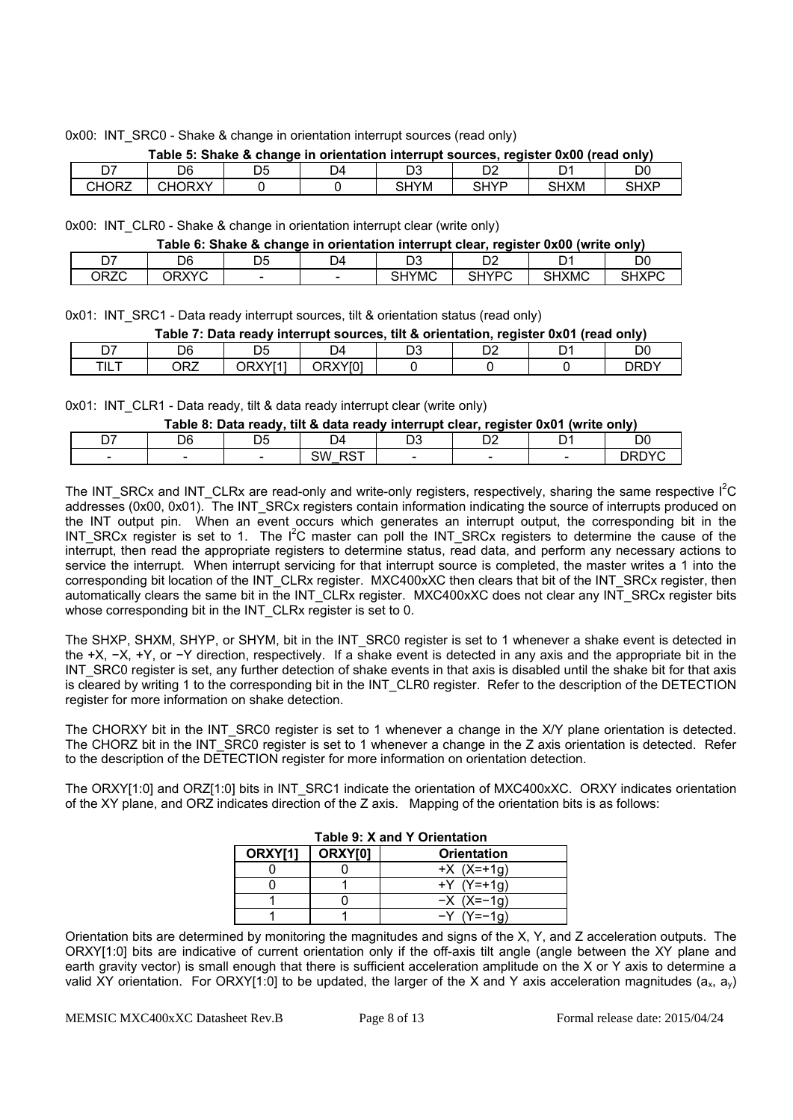0x00: INT\_SRC0 - Shake & change in orientation interrupt sources (read only)

| Table 5: Shake & change in orientation interrupt sources, register 0x00 (read only) |        |  |    |      |             |      |      |  |
|-------------------------------------------------------------------------------------|--------|--|----|------|-------------|------|------|--|
|                                                                                     | 76     |  | D4 |      |             |      | D0   |  |
| CHORZ                                                                               | CHORXY |  |    | SHYM | <b>SHYP</b> | SHXM | SHXP |  |

0x00: INT\_CLR0 - Shake & change in orientation interrupt clear (write only)

| Table 6: Shake & change in orientation interrupt clear, register 0x00 (write only) |       |    |     |              |              |              |              |  |
|------------------------------------------------------------------------------------|-------|----|-----|--------------|--------------|--------------|--------------|--|
|                                                                                    |       | D5 | בר- |              |              |              |              |  |
| <b>CRZC</b>                                                                        | ORXYC |    |     | <b>SHYMC</b> | <b>SHYPC</b> | <b>SHXMC</b> | <b>SHXPC</b> |  |

0x01: INT\_SRC1 - Data ready interrupt sources, tilt & orientation status (read only)

| Table 7: Data ready interrupt sources, tilt & orientation, register 0x01 (read only) |     |         |         |  |  |  |             |  |
|--------------------------------------------------------------------------------------|-----|---------|---------|--|--|--|-------------|--|
|                                                                                      | D6  |         |         |  |  |  | D0          |  |
| TILT                                                                                 | ORZ | ORXYI1' | ORXYI01 |  |  |  | <b>DRDY</b> |  |

0x01: INT\_CLR1 - Data ready, tilt & data ready interrupt clear (write only)

| Table 8: Data ready, tilt & data ready interrupt clear, register 0x01 (write only) |
|------------------------------------------------------------------------------------|
|                                                                                    |

| ∽− | ৲≏ | ◡ | D4                              | ◡                        | D. | ⊔∪             |
|----|----|---|---------------------------------|--------------------------|----|----------------|
|    | -  |   | <b>DCT</b><br>$W_{\alpha}$<br>Ś | $\overline{\phantom{a}}$ |    | ----<br>້<br>∼ |
|    |    |   |                                 |                          |    |                |

The INT\_SRCx and INT\_CLRx are read-only and write-only registers, respectively, sharing the same respective  $I^2C$ addresses (0x00, 0x01). The INT\_SRCx registers contain information indicating the source of interrupts produced on the INT output pin. When an event occurs which generates an interrupt output, the corresponding bit in the INT\_SRCx register is set to 1. The I<sup>2</sup>C master can poll the INT\_SRCx registers to determine the cause of the interrupt, then read the appropriate registers to determine status, read data, and perform any necessary actions to service the interrupt. When interrupt servicing for that interrupt source is completed, the master writes a 1 into the corresponding bit location of the INT\_CLRx register. MXC400xXC then clears that bit of the INT\_SRCx register, then automatically clears the same bit in the INT\_CLRx register. MXC400xXC does not clear any INT\_SRCx register bits whose corresponding bit in the INT\_CLRx register is set to 0.

The SHXP, SHXM, SHYP, or SHYM, bit in the INT\_SRC0 register is set to 1 whenever a shake event is detected in the +X, −X, +Y, or −Y direction, respectively. If a shake event is detected in any axis and the appropriate bit in the INT\_SRC0 register is set, any further detection of shake events in that axis is disabled until the shake bit for that axis is cleared by writing 1 to the corresponding bit in the INT\_CLR0 register. Refer to the description of the DETECTION register for more information on shake detection.

The CHORXY bit in the INT\_SRC0 register is set to 1 whenever a change in the X/Y plane orientation is detected. The CHORZ bit in the INT\_SRC0 register is set to 1 whenever a change in the Z axis orientation is detected. Refer to the description of the DETECTION register for more information on orientation detection.

The ORXY[1:0] and ORZ[1:0] bits in INT\_SRC1 indicate the orientation of MXC400xXC. ORXY indicates orientation of the XY plane, and ORZ indicates direction of the Z axis. Mapping of the orientation bits is as follows:

| Table 9: X and Y Orientation |         |                    |  |  |  |  |  |  |  |
|------------------------------|---------|--------------------|--|--|--|--|--|--|--|
| ORXY[1]                      | ORXY[0] | <b>Orientation</b> |  |  |  |  |  |  |  |
|                              |         | $+X$ (X=+1g)       |  |  |  |  |  |  |  |
|                              |         | $+Y (Y=+1a)$       |  |  |  |  |  |  |  |
|                              |         | $-X (X=-1a)$       |  |  |  |  |  |  |  |
|                              |         | $-Y (Y=-10)$       |  |  |  |  |  |  |  |

Orientation bits are determined by monitoring the magnitudes and signs of the X, Y, and Z acceleration outputs. The ORXY[1:0] bits are indicative of current orientation only if the off-axis tilt angle (angle between the XY plane and earth gravity vector) is small enough that there is sufficient acceleration amplitude on the X or Y axis to determine a valid XY orientation. For ORXY[1:0] to be updated, the larger of the X and Y axis acceleration magnitudes ( $a_x$ ,  $a_y$ )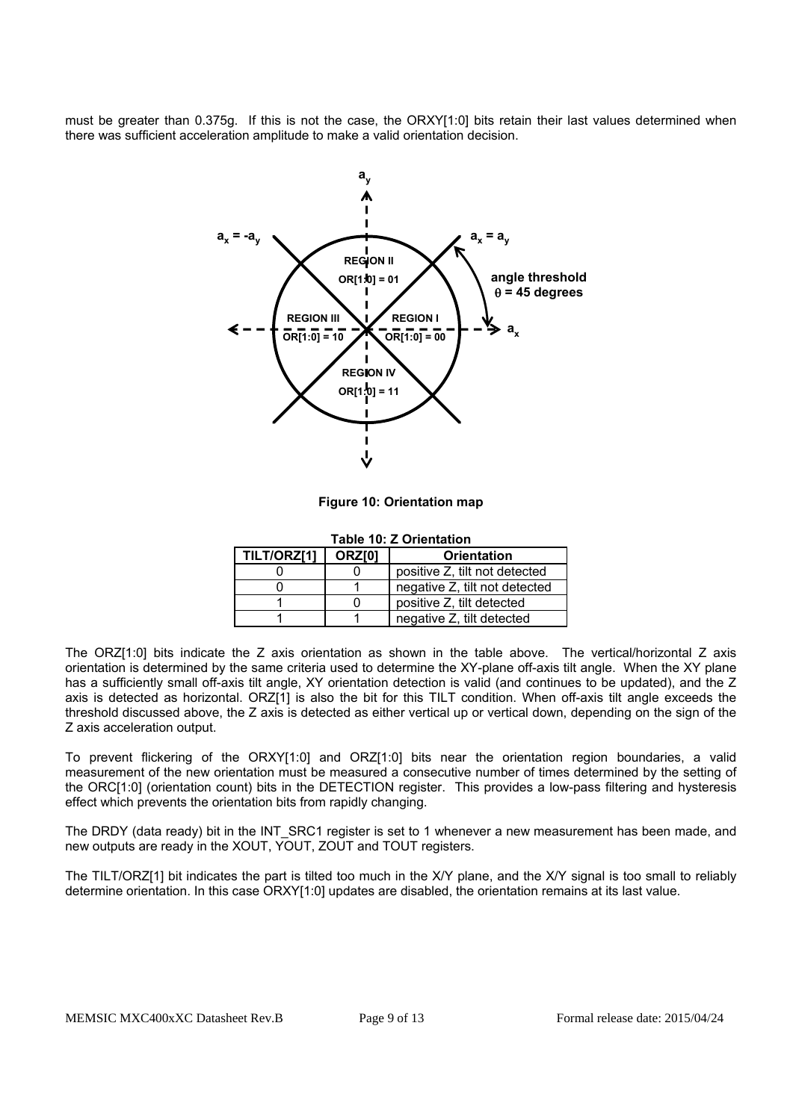must be greater than 0.375g. If this is not the case, the ORXY[1:0] bits retain their last values determined when there was sufficient acceleration amplitude to make a valid orientation decision.



**Figure 10: Orientation map** 

| TILT/ORZ[1] | ORZ[0] | <b>Orientation</b>            |  |  |  |  |  |  |  |
|-------------|--------|-------------------------------|--|--|--|--|--|--|--|
|             |        | positive Z, tilt not detected |  |  |  |  |  |  |  |
|             |        | negative Z, tilt not detected |  |  |  |  |  |  |  |
|             |        | positive Z, tilt detected     |  |  |  |  |  |  |  |
|             |        | negative Z, tilt detected     |  |  |  |  |  |  |  |

#### **Table 10: Z Orientation**

The ORZ[1:0] bits indicate the Z axis orientation as shown in the table above. The vertical/horizontal Z axis orientation is determined by the same criteria used to determine the XY-plane off-axis tilt angle. When the XY plane has a sufficiently small off-axis tilt angle, XY orientation detection is valid (and continues to be updated), and the Z axis is detected as horizontal. ORZ[1] is also the bit for this TILT condition. When off-axis tilt angle exceeds the threshold discussed above, the Z axis is detected as either vertical up or vertical down, depending on the sign of the Z axis acceleration output.

To prevent flickering of the ORXY[1:0] and ORZ[1:0] bits near the orientation region boundaries, a valid measurement of the new orientation must be measured a consecutive number of times determined by the setting of the ORC[1:0] (orientation count) bits in the DETECTION register. This provides a low-pass filtering and hysteresis effect which prevents the orientation bits from rapidly changing.

The DRDY (data ready) bit in the INT\_SRC1 register is set to 1 whenever a new measurement has been made, and new outputs are ready in the XOUT, YOUT, ZOUT and TOUT registers.

The TILT/ORZ[1] bit indicates the part is tilted too much in the X/Y plane, and the X/Y signal is too small to reliably determine orientation. In this case ORXY[1:0] updates are disabled, the orientation remains at its last value.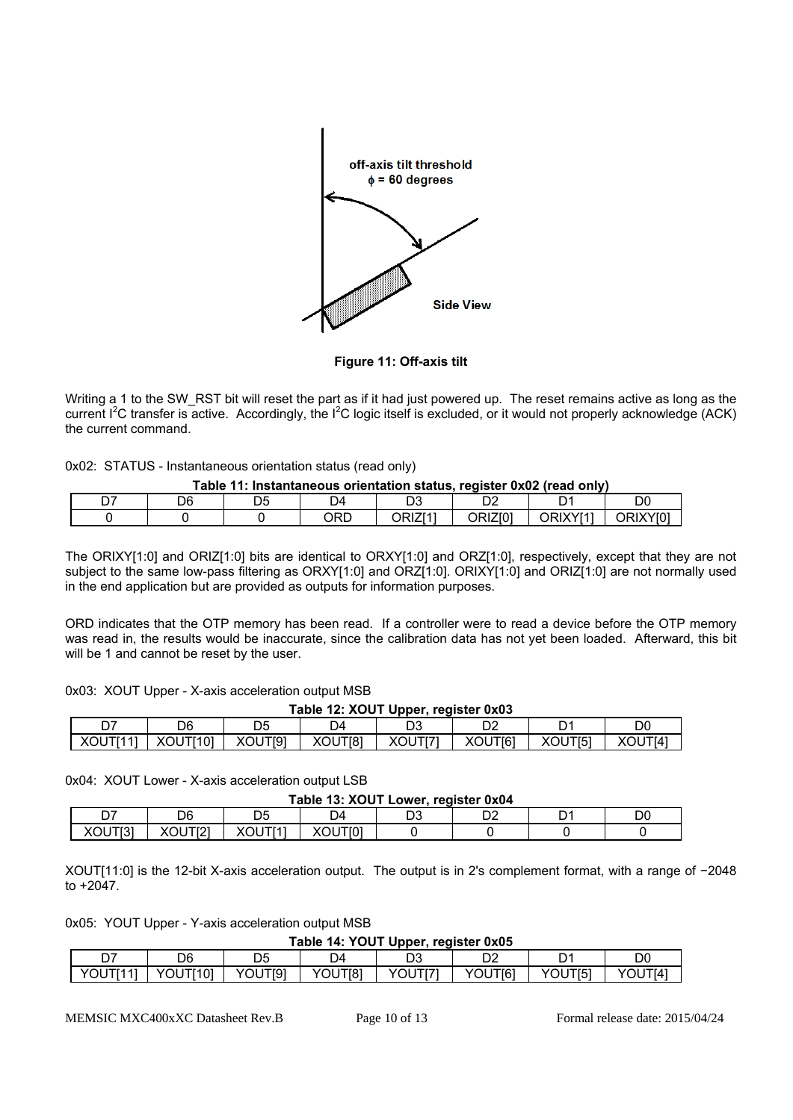

#### **Figure 11: Off-axis tilt**

Writing a 1 to the SW\_RST bit will reset the part as if it had just powered up. The reset remains active as long as the current  $I^2C$  transfer is active. Accordingly, the  $I^2C$  logic itself is excluded, or it would not properly acknowledge (ACK) the current command.

|  | 0x02: STATUS - Instantaneous orientation status (read only) |  |  |
|--|-------------------------------------------------------------|--|--|
|  |                                                             |  |  |

| Table 11: Instantaneous orientation status, register 0x02 (read only) |    |    |     |                     |         |            |          |  |  |  |  |
|-----------------------------------------------------------------------|----|----|-----|---------------------|---------|------------|----------|--|--|--|--|
|                                                                       | D6 | D5 |     |                     |         |            |          |  |  |  |  |
|                                                                       |    |    | ORD | ORIZI1 <sup>.</sup> | ORIZI01 | ORIXYI11 I | ORIXYI01 |  |  |  |  |

The ORIXY[1:0] and ORIZ[1:0] bits are identical to ORXY[1:0] and ORZ[1:0], respectively, except that they are not subject to the same low-pass filtering as ORXY[1:0] and ORZ[1:0]. ORIXY[1:0] and ORIZ[1:0] are not normally used in the end application but are provided as outputs for information purposes.

ORD indicates that the OTP memory has been read. If a controller were to read a device before the OTP memory was read in, the results would be inaccurate, since the calibration data has not yet been loaded. Afterward, this bit will be 1 and cannot be reset by the user.

| 0x03: XOUT Upper - X-axis acceleration output MSB |  |  |  |  |  |  |
|---------------------------------------------------|--|--|--|--|--|--|
|---------------------------------------------------|--|--|--|--|--|--|

|         | Table 12: XOUT Upper, register 0x03 |         |         |         |                |         |         |  |  |  |  |
|---------|-------------------------------------|---------|---------|---------|----------------|---------|---------|--|--|--|--|
|         | D6                                  | D5      |         |         |                |         | D0      |  |  |  |  |
| XOUTI11 | XOUTI101                            | XOUTI91 | XOUT[8] | XOUTI71 | <b>XOUTI61</b> | XOUTI51 | XOUTI41 |  |  |  |  |

0x04: XOUT Lower - X-axis acceleration output LSB

|                  | Table 13: XOUT Lower, register 0x04 |     |     |  |  |  |    |  |  |  |  |
|------------------|-------------------------------------|-----|-----|--|--|--|----|--|--|--|--|
| ◡                | D6                                  | D5  | 14  |  |  |  | 00 |  |  |  |  |
| ∨∩<br><b>AUU</b> | טש∧                                 | טש∧ | טש∧ |  |  |  |    |  |  |  |  |

XOUT[11:0] is the 12-bit X-axis acceleration output. The output is in 2's complement format, with a range of −2048 to +2047.

0x05: YOUT Upper - Y-axis acceleration output MSB

| --     | D6            | ∩ҕ<br>◡                       | D4      | n o<br>◡                    | r.<br>◡▵ | ◡                        | D0      |
|--------|---------------|-------------------------------|---------|-----------------------------|----------|--------------------------|---------|
| YOUT[1 | JT[10]<br>YOU | JT[9]<br>$\vee$ $\cap$<br>vv. | YOUT[8] | $\sqrt{2}$<br>ITTI7<br>ט∪ ' | YOUT[6]  | YOL<br>JT <sub>[5]</sub> | YOUT[4] |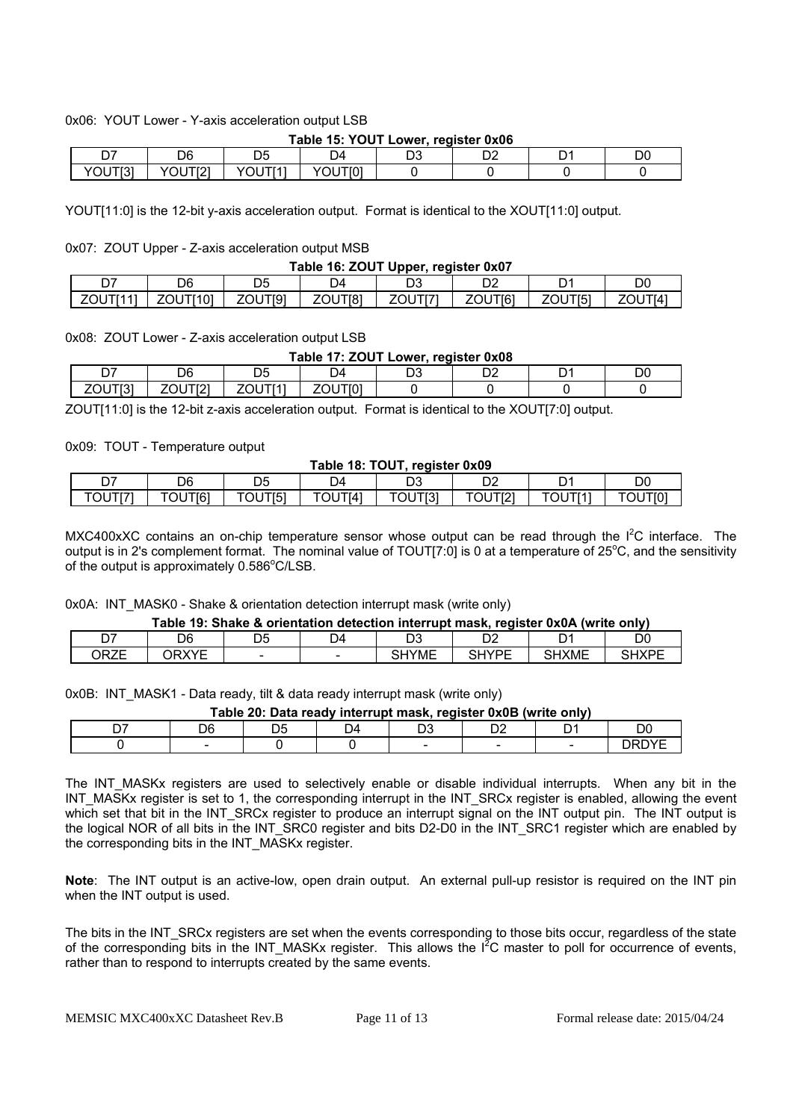0x06: YOUT Lower - Y-axis acceleration output LSB

|  |  | Table 15: YOUT Lower, register 0x06 |  |
|--|--|-------------------------------------|--|
|  |  |                                     |  |

| --              | D6                                     | --<br>١Ļ<br>◡              | D4      | $\sim$<br>◡ | <sub>n</sub><br>◡ | D.<br>ັ | DO |
|-----------------|----------------------------------------|----------------------------|---------|-------------|-------------------|---------|----|
| YOUT[31<br>יטוי | <b>ITIOL</b><br>$\sqrt{2}$<br>OU<br>14 | 1TTTA1<br>$\sqrt{2}$<br>UU | YOUT[0] |             |                   |         |    |

YOUT[11:0] is the 12-bit y-axis acceleration output. Format is identical to the XOUT[11:0] output.

0x07: ZOUT Upper - Z-axis acceleration output MSB

|  | Table 16: ZOUT Upper, register 0x07 |  |  |
|--|-------------------------------------|--|--|
|  |                                     |  |  |

| --<br><u>. u</u> | D6      | D5      | D4           | $\mathbf{r}$<br>◡ | n,<br>◡▵            |         | DO          |
|------------------|---------|---------|--------------|-------------------|---------------------|---------|-------------|
| <b>POUT</b><br>- | DUTI101 | ZOUT[9] | JTI81<br>70I | ZOUT[7]           | JT[61<br>70I<br>. ש | ZOUT[5] | JTI41<br>וו |
|                  |         |         |              |                   |                     |         |             |

0x08: ZOUT Lower - Z-axis acceleration output LSB

#### **Table 17: ZOUT Lower, register 0x08**

| --                           | מר<br>৴                                    |                                    | D4                   | ◡ |  | D0 |
|------------------------------|--------------------------------------------|------------------------------------|----------------------|---|--|----|
| <b>TIO1</b><br>⇁<br>10<br>∠∪ | $TTI^{\bullet}$<br>ZOU <sup>-</sup><br>. . | 1TTTA1<br>$\overline{\phantom{a}}$ | JTI01<br>70<br>∠∪∪ ' |   |  |    |

ZOUT[11:0] is the 12-bit z-axis acceleration output. Format is identical to the XOUT[7:0] output.

0x09: TOUT - Temperature output

## **Table 18: TOUT, register 0x09**

| --<br>◡             | D6      | 11<br>◡          | D4                                | n o<br>◡◡          | -<br>◡▵ |     | D <sub>0</sub>            |
|---------------------|---------|------------------|-----------------------------------|--------------------|---------|-----|---------------------------|
| $-1 - 1$<br>∽<br>◡◡ | TOUT[6] | JTI51<br>⇁<br>Uυ | . <del></del> .<br>TΩ<br>14<br>טע | T[3]<br>-^<br>טט ' | TOUT[2] | TOL | JT[0]<br>TOU <sub>L</sub> |

MXC400xXC contains an on-chip temperature sensor whose output can be read through the  $I^2C$  interface. The output is in 2's complement format. The nominal value of TOUT[7:0] is 0 at a temperature of 25°C, and the sensitivity of the output is approximately 0.586°C/LSB.

0x0A: INT\_MASK0 - Shake & orientation detection interrupt mask (write only)

|      | Table 19: Shake & orientation detection interrupt mask, register 0x0A (write only) |  |    |              |              |              |       |  |  |  |  |
|------|------------------------------------------------------------------------------------|--|----|--------------|--------------|--------------|-------|--|--|--|--|
|      | D6                                                                                 |  | D4 | DЗ           |              |              | D0    |  |  |  |  |
| ገRZE | าRXYF                                                                              |  |    | <b>SHYME</b> | <b>SHYPE</b> | <b>SHXME</b> | SHXPF |  |  |  |  |

0x0B: INT\_MASK1 - Data ready, tilt & data ready interrupt mask (write only)

|  |  | Table 20: Data ready interrupt mask, register 0x0B (write only) |  |  |
|--|--|-----------------------------------------------------------------|--|--|
|  |  |                                                                 |  |  |

| DΘ | <br>14 | D <sub>C</sub><br>-- | ◡                   |
|----|--------|----------------------|---------------------|
|    |        |                      | <b>DD</b><br>-<br>∼ |
|    |        |                      |                     |

The INT MASKx registers are used to selectively enable or disable individual interrupts. When any bit in the INT\_MASKx register is set to 1, the corresponding interrupt in the INT\_SRCx register is enabled, allowing the event which set that bit in the INT\_SRCx register to produce an interrupt signal on the INT output pin. The INT output is the logical NOR of all bits in the INT\_SRC0 register and bits D2-D0 in the INT\_SRC1 register which are enabled by the corresponding bits in the INT\_MASKx register.

**Note**: The INT output is an active-low, open drain output. An external pull-up resistor is required on the INT pin when the INT output is used.

The bits in the INT\_SRCx registers are set when the events corresponding to those bits occur, regardless of the state of the corresponding bits in the INT\_MASKx register. This allows the I<sup>2</sup>C master to poll for occurrence of events, rather than to respond to interrupts created by the same events.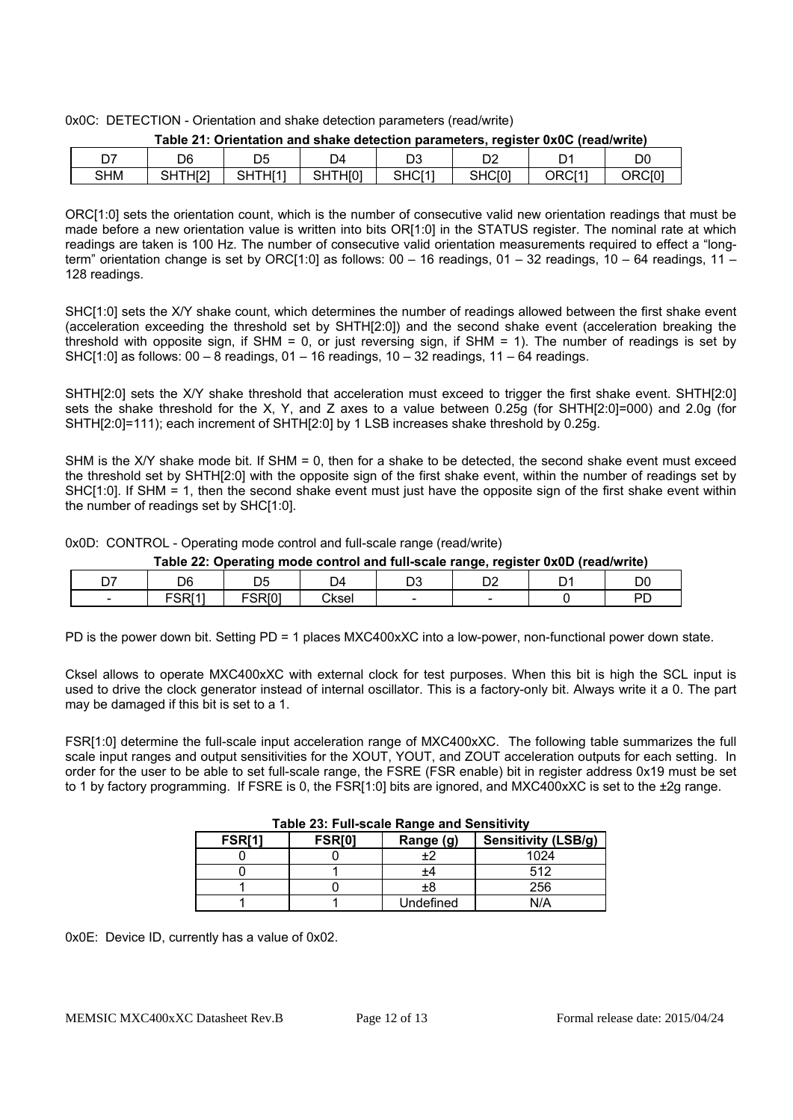0x0C: DETECTION - Orientation and shake detection parameters (read/write)

|     | --------------<br>----------------------------<br>------------- |                             |                     |         |           |                   |                |  |  |  |
|-----|-----------------------------------------------------------------|-----------------------------|---------------------|---------|-----------|-------------------|----------------|--|--|--|
| n7  | D6                                                              | ◡                           | D4                  | r,<br>◡ | r o<br>◡▵ |                   | D <sub>0</sub> |  |  |  |
| SHM | HI <sub>2</sub><br>ור<br>onir<br>11 Z.                          | a itan<br>ודו וח<br>OП<br>- | <b>ITHIOI</b><br>SН | SHC[1]  | SHC[0]    | ORC <sup>[1</sup> | ORC[0]         |  |  |  |

**Table 21: Orientation and shake detection parameters, register 0x0C (read/write)** 

ORC[1:0] sets the orientation count, which is the number of consecutive valid new orientation readings that must be made before a new orientation value is written into bits OR[1:0] in the STATUS register. The nominal rate at which readings are taken is 100 Hz. The number of consecutive valid orientation measurements required to effect a "longterm" orientation change is set by ORC[1:0] as follows: 00 – 16 readings, 01 – 32 readings, 10 – 64 readings, 11 – 128 readings.

SHC[1:0] sets the X/Y shake count, which determines the number of readings allowed between the first shake event (acceleration exceeding the threshold set by SHTH[2:0]) and the second shake event (acceleration breaking the threshold with opposite sign, if SHM = 0, or just reversing sign, if SHM = 1). The number of readings is set by SHC[1:0] as follows: 00 – 8 readings, 01 – 16 readings, 10 – 32 readings, 11 – 64 readings.

SHTH[2:0] sets the X/Y shake threshold that acceleration must exceed to trigger the first shake event. SHTH[2:0] sets the shake threshold for the X, Y, and Z axes to a value between 0.25g (for SHTH[2:0]=000) and 2.0g (for SHTH[2:0]=111); each increment of SHTH[2:0] by 1 LSB increases shake threshold by 0.25g.

SHM is the X/Y shake mode bit. If SHM = 0, then for a shake to be detected, the second shake event must exceed the threshold set by SHTH[2:0] with the opposite sign of the first shake event, within the number of readings set by SHC[1:0]. If SHM = 1, then the second shake event must just have the opposite sign of the first shake event within the number of readings set by SHC[1:0].

0x0D: CONTROL - Operating mode control and full-scale range (read/write)

| Table 22: Operating mode control and full-scale range, register 0x0D (read/write) |  |  |  |  |  |
|-----------------------------------------------------------------------------------|--|--|--|--|--|
|                                                                                   |  |  |  |  |  |

| --<br>◡ | D6                        | r r<br>℩<br>◡                   | D <sub>4</sub> | $\sim$<br>◡ | $\sim$<br>◡ | $\sim$<br>- | D <sub>0</sub> |
|---------|---------------------------|---------------------------------|----------------|-------------|-------------|-------------|----------------|
| -       | <b>CODI</b> 41<br>M<br>J. | <b>CODIA1</b><br><b>NU</b><br>້ | <b>Cksel</b>   |             |             |             | חח<br>╺        |

PD is the power down bit. Setting PD = 1 places MXC400xXC into a low-power, non-functional power down state.

Cksel allows to operate MXC400xXC with external clock for test purposes. When this bit is high the SCL input is used to drive the clock generator instead of internal oscillator. This is a factory-only bit. Always write it a 0. The part may be damaged if this bit is set to a 1.

FSR[1:0] determine the full-scale input acceleration range of MXC400xXC. The following table summarizes the full scale input ranges and output sensitivities for the XOUT, YOUT, and ZOUT acceleration outputs for each setting. In order for the user to be able to set full-scale range, the FSRE (FSR enable) bit in register address 0x19 must be set to 1 by factory programming. If FSRE is 0, the FSR[1:0] bits are ignored, and MXC400xXC is set to the ±2g range.

|        |               | Table 29. Tull-scale Karlye and Ochsitivity |                            |
|--------|---------------|---------------------------------------------|----------------------------|
| FSR[1] | <b>FSR[0]</b> | Range (g)                                   | <b>Sensitivity (LSB/g)</b> |
|        |               |                                             | 1024                       |
|        |               |                                             | 512                        |
|        |               | ±8                                          | 256                        |
|        |               | Undefined                                   | N/A                        |

#### **Table 23: Full-scale Range and Sensitivity**

0x0E: Device ID, currently has a value of 0x02.